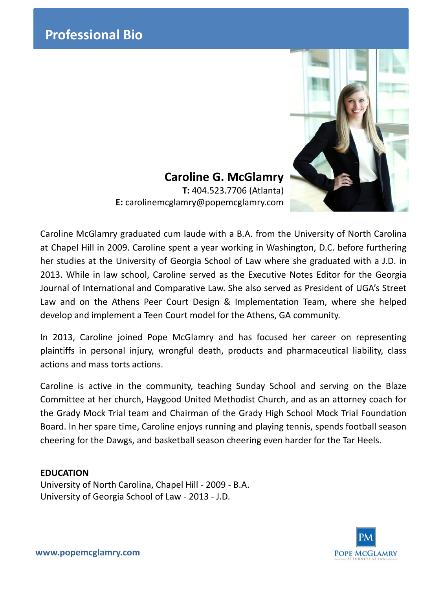

**Caroline G. McGlamry T:** 404.523.7706 (Atlanta) **E:** carolinemcglamry@popemcglamry.com

Caroline McGlamry graduated cum laude with a B.A. from the University of North Carolina at Chapel Hill in 2009. Caroline spent a year working in Washington, D.C. before furthering her studies at the University of Georgia School of Law where she graduated with a J.D. in 2013. While in law school, Caroline served as the Executive Notes Editor for the Georgia Journal of International and Comparative Law. She also served as President of UGA's Street Law and on the Athens Peer Court Design & Implementation Team, where she helped develop and implement a Teen Court model for the Athens, GA community.

In 2013, Caroline joined Pope McGlamry and has focused her career on representing plaintiffs in personal injury, wrongful death, products and pharmaceutical liability, class actions and mass torts actions.

Caroline is active in the community, teaching Sunday School and serving on the Blaze Committee at her church, Haygood United Methodist Church, and as an attorney coach for the Grady Mock Trial team and Chairman of the Grady High School Mock Trial Foundation Board. In her spare time, Caroline enjoys running and playing tennis, spends football season cheering for the Dawgs, and basketball season cheering even harder for the Tar Heels.

## **EDUCATION**

University of North Carolina, Chapel Hill - 2009 - B.A. University of Georgia School of Law - 2013 - J.D.